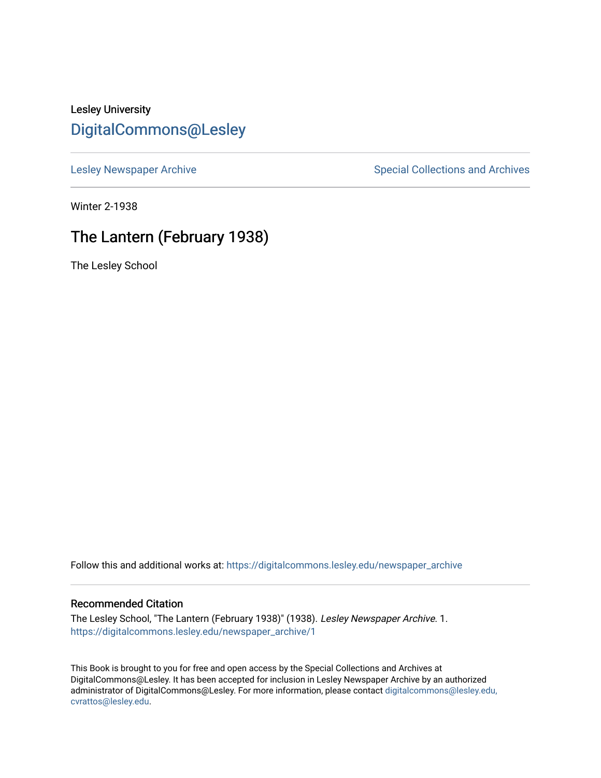# Lesley University [DigitalCommons@Lesley](https://digitalcommons.lesley.edu/)

[Lesley Newspaper Archive](https://digitalcommons.lesley.edu/newspaper_archive) **Special Collections and Archives** Special Collections and Archives

Winter 2-1938

# The Lantern (February 1938)

The Lesley School

Follow this and additional works at: [https://digitalcommons.lesley.edu/newspaper\\_archive](https://digitalcommons.lesley.edu/newspaper_archive?utm_source=digitalcommons.lesley.edu%2Fnewspaper_archive%2F1&utm_medium=PDF&utm_campaign=PDFCoverPages)

## Recommended Citation

The Lesley School, "The Lantern (February 1938)" (1938). Lesley Newspaper Archive. 1. [https://digitalcommons.lesley.edu/newspaper\\_archive/1](https://digitalcommons.lesley.edu/newspaper_archive/1?utm_source=digitalcommons.lesley.edu%2Fnewspaper_archive%2F1&utm_medium=PDF&utm_campaign=PDFCoverPages)

This Book is brought to you for free and open access by the Special Collections and Archives at DigitalCommons@Lesley. It has been accepted for inclusion in Lesley Newspaper Archive by an authorized administrator of DigitalCommons@Lesley. For more information, please contact [digitalcommons@lesley.edu,](mailto:digitalcommons@lesley.edu,%20cvrattos@lesley.edu)  [cvrattos@lesley.edu.](mailto:digitalcommons@lesley.edu,%20cvrattos@lesley.edu)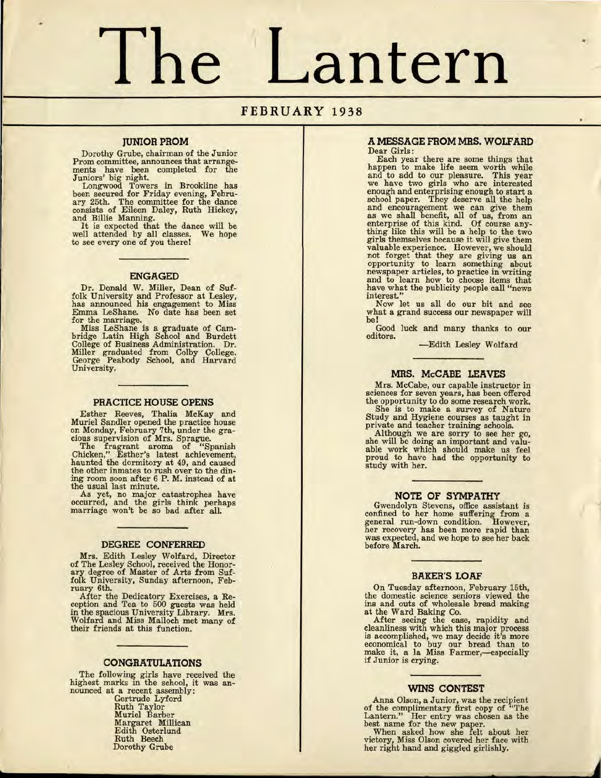# **The Lantern**

# **FEBRUARY 1938**

#### **JUNIOR PROM**

Dorothy Grube, chairman of the Junior Prom committee, announces that arrangements have been completed for the

Juniors' big night. Longwood Towers in Brookline has been secured for Friday evening, February 25th. The committee for the dance consists of Eileen Daley, Ruth Hickey, and Billie Manning. It is expected that the dance will be

well attended by all classes. We hope to see every one of you there!

#### **ENGAGED**

Dr. Donald W. Miller, Dean of Suf-folk University and Professor at Lesley, has announced his engagement to Miss Emma LeShane. No date has been set for the marriage. Miss LeShane is a graduate of Cam-

bridge Latin High School and Burdett College of Business Administration. Dr. Miller graduated from Colby College. George Peabody School, and Harvard University.

#### **PRACTICE HOUSE OPENS**

Esther Reeves, Thalia McKay and Muriel Sandler opened the practice house on Monday, February 7th, under the gra- cious supervision of Mrs. Sprague.

The fragrant aroma of "Spanish Chicken," Esther's latest achievement, haunted the dormitory at 49, and caused the other inmates to rush over to the din-ing room soon after 6 P. M. instead of at the usual last minute.

As yet, no major catastrophes have occurred, and the girls think perhaps marriage won't be so bad after all.

#### **DEGREE CONFERRED**

Mrs. Edith Lesley Wolfard, Director of The Lesley School, received the Honor-ary degree of Master of Arts from Suf-folk University, Sunday afternoon, February 6th.

After the Dedicatory Exercises, a Re-ception and Tea to 500 guests was held in the spacious University Library. Mrs. Wolfard and Miss Malloch met many of their friends at this function.

#### **CONGRATULATIONS**

The following girls have received the highest marks in the school, it was anhighest marks in the school, it was an-<br>nounced at a recent assembly:

Gertrude Lyford Ruth Taylor Muriel Barber Margaret Millican Edith Osterlund Ruth Beech Dorothy Grube

#### *A* **MESSAGE FROM MRS. WOLFARD**  Dear Girls:

Each year there are some things that happen to make life seem worth while and to add to our pleasure. This year we have two girls who are interested enough and enterprising enough to start a school paper. They deserve all the help and encouragement we can give them as we shall benefit, all of us, from an enterprise of this kind. Of course any- thing like this will be a help to the two girls themselves because it will give them valuable experience. However, we should not forget that they are giving us an opportunity to learn something about newspaper articles, to practice in writing and to learn how to choose items that have what the publicity people call "news interest."

Now let us all do our bit and see what a grand success our newspaper will be!

Good luck and many thanks to our editors.

-Edith Lesley Wolfard

#### **MRS. McCABE LEAVES**

Mrs. McCabe, our capable instructor in sciences for seven years, has been offered the opportunity to do some research work.

She is to make a survey of Nature Study and Hygiene courses as taught in private and teacher training schools.<br>Although we are sorry to see her go,

Although we are sorry to see her go, she will be doing an important and valuable work which should make us feel proud to have had the opportunity to study with her.

#### **NOTE OF SYMPATHY**

Gwendolyn Stevens, office assistant is confined to her home suffering from a general run-down condition. However, her recovery has been more rapid than was expected, and we hope to see her back before March.

#### **BAKER'S LOAF**

On Tuesday afternoon, February 15th, the domestic science seniors viewed the ins and outs of wholesale bread making at the Ward Baking Co. After seeing the ease, rapidity and

cleanliness with which this major process is accomplished, we may decide it's more economical to buy our bread than to make it, a la Miss Farmer,—especially if Junior is crying.

#### **WINS CONTEST**

Anna Olson, a Junior, was the recipient of the complimentary first copy of "'fhe Lantern." Her entry was chosen as the best name for the new paper. When asked how she felt about her

victory, Miss Olson covered her face with her right hand and giggled girlishly.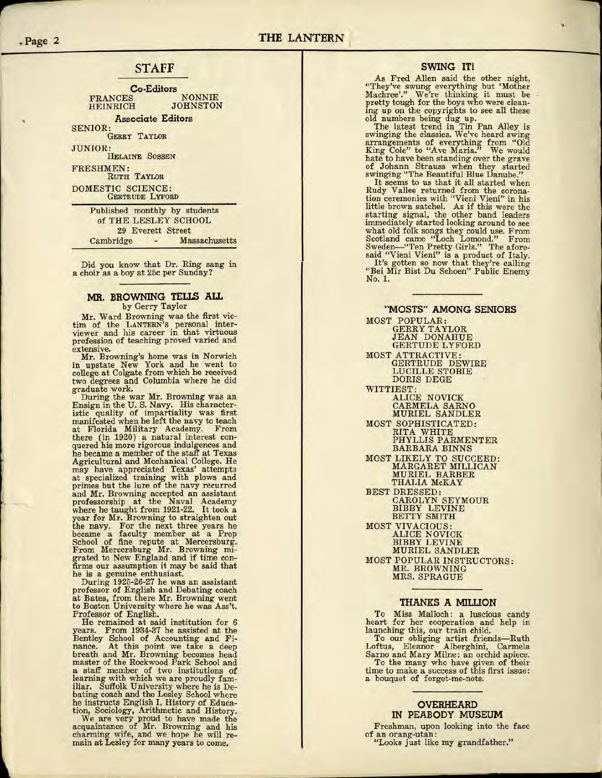# **STAFF**

**Co-Editors**  FRANCES NONNIE HEINRICH

**Associate Editors**  SENIOR:

GERRY TAYLOR

JUNIOR: HELAINE SOSSEN

FRESHMEN: RUTH TAYLOR DOMESTIC SCIENCE: GERTRUDE LYFORD

> Published monthly by students of THE LESLEY SCHOOL 29 Everett Street Cambridge - Massachusetts

Did you know that Dr. Ring sang in a choir as a boy at 25c per Sunday?

#### **MR. BROWNING TELl.S ALL**  by Gerry Taylor

Mr. Ward Browning was the first victim of the LANTERN'S personal inter-viewer and his career in that virtuous profession of teaching proved varied and extensive.

Mr. Browning's home was in Norwich in upstate New York and he went to college at Colgate from which he received two degrees and Columbia where he did graduate work.

During the war Mr. Browning was an Ensign in the U.S. Navy. His characteristic quality of impartiality was first manifested when he left the navy to teach at Florida Military Academy. From there (in 1920) a natural interest con- quered his more rigorous indulgences and he became a member of the staff at Texas Agricultural and Mechanical College. He may have appreciated Texas' attempts at specialized training with plows and primes but the lure of the navy recurred and Mr. Browning accepted an assistant professorship at the Naval Academy where he taught from 1921-22. It took a year for Mr. Browning to straighten out the navy. For the next three years he became a faculty member at a Prep School of fine repute at Mercersburg. From Mercersburg Mr. Browning migrated to New England and if time con- firms our assumption it may be said that he is a genuine enthusiast.

During 1925-26-27 he was an assistant professor of English and Debating coach at Bates, from there Mr. Browning went to Boston University where he was Ass't. Professor of English.<br>He remained at said institution for 6

years. From 1934-37 he assisted at the Bentley School of Accounting and Fi- nance. At this point we take a deep breath and Mr. Browning becomes head master of the Rockwood Park School and a staff member of two institutions of learning with which we are proudly familiar. Suffolk University where he is Debating coach and the Lesley School where he instructs English I, History of Education, Sociology, Arithmetic and History.

We are very proud to have made the acquaintance of Mr. Browning and his charming wife, and we hope he will re- main at Lesley for many years to come.

#### **SWING IT!**

As Fred Allen said the other night, "They've swung everything but 'Mother Machree'." We're thinking it must be pretty tough for the boys who were cleaning up on the copyrights to see all these old numbers being dug up.

The latest trend in Tin Pan Alley is swinging the classics. We've heard swing arrangements of everything from "Old King Cole" to "Ave Maria." We would hate to have been standing over the grave of Johann Strauss when they started

swinging "The Beautiful Blue Danube." It seems to us that it all started when Rudy Vallee returned from the corona- tion ceremonies with "Vieni Vieni" in his little brown satchel. As if this were the starting signal, the other band leaders immediately started looking around to see what old folk songs they could use. From Scotland came "Loch Lomond." From Sweden-"Ten Pretty Girls." The aforesaid "Vieni Vieni" is a product of Italy. It's gotten so now that they're calling "Bei Mir Bist Du Schoen" Public Enemy No. 1.

**"MOSTS" AMONG SENIORS**  MOST POPULAR: GERRY TAYLOR JEAN DONAHUE GERTUDE LYFORD MOST ATTRACTIVE: GERTRUDE DEWIRE LUCILLE STOBIE DORIS DEGE WITTIEST: ALICE NOVICK CARMELA SARNO MURIEL SANDLER MOST SOPHISTICATED: RITA WHITE PHYLLIS PARMENTER BARBARA BINNS MOST LIKELY TO SUCCEED: MARGARET MILLICAN MURIEL BARBER THALIA McKAY BEST DRESSED: CAROLYN SEYMOUR<br>BIBBY LEVINE BETTY SMITH MOST VIVACIOUS: ALICE NOVICK BIBBY LEVINE MURIEL SANDLER MOST POPULAR INSTRUCTORS: MR. BROWNING MRS. SPRAGUE

#### **THANKS A MILLION**

To Miss Malloch: a luscious candy heart for her cooperation and help in launching this, our train child.

To our obliging artist friends-Ruth Loftus, Eleanor Alberghini, Carmela Sarno and Mary Milne: an orchid apiece. To the many who have given of their time to make a success of this first issue: a bouquet of forget-me-nots.

#### **OVERHEARD IN PEABODY MUSEUM**

Freshman, upon looking into the face of an orang-utan: "Looks just like my grandfather."

**.. Page 2** 

**F**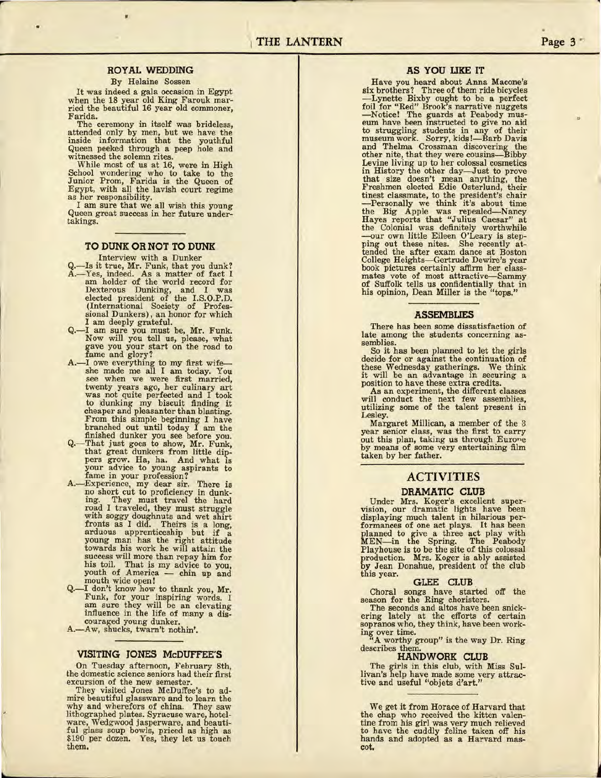### **ROYAL WEDDING**

#### By Helaine Sossen

..

It was indeed a gala occasion in Egypt when the 18 year old King Farouk mar-<br>ried the beautiful 16 year old commoner,

Farida.<br>The ceremony in itself was brideless, attended only by men, but we have the inside information that the youthful Queen peeked through a peep hole and witnessed the solemn rites. witnessed the solemn rites.<br>While most of us at 16, were in High

School wondering who to take to the Junior Prom, Farida is the Queen of Egypt, with all the lavish court regime as her responsibility.

I am sure that we all wish this young Queen great success in her future under-Queen great success in her future under-<br>takings.

#### **TO DUNK OR NOT TO DUNK**

- Interview with a Dunker<br>Q.—Is it true, Mr. Funk, that you dunk? A.- Yes, indeed. As a matter of fact I am holder of the world record for Dexterous Dunking, and I was elected president of the I.S.O.P.D. (International Society of Profes-sional Dunkers), an honor for which
- I am deeply grateful.<br>
Q.-I am sure you must be, Mr. Funk.<br>
Now will you tell us, please, what<br>
gave you your start on the road to fame and glory?
- A.-I owe everything to my first wife---<br>she made me all I am today. You she made me all I am today. You see when we were first married, twenty years ago, her culinary art was not quite perfected and I took to dunking my biscuit finding it cheaper and pleasanter than blasting. From this simple beginning I have branched out until today I am the
- finished dunker you see before you. Q.- That just goes to show, Mr. Funk, that great dunkers from little dippers grow. Ha, ha. And what is your advice to young aspirants to fame in your profession?
- A.-Experience, my dear sir. There is no short cut to proficiency in dunk-ing. They must travel the hard road I traveled, they must struggle with soggy doughnuts and wet shirt fronts as I did. Theirs is a long, arduous apprenticeship but if a young man has the right attitude towards his work he will attain the success will more than repay him for his toil. That is my advice to you, youth of America - chin up and mouth wide open!
- I don't know how to thank you, Mr. Funk, for your inspiring words. I am sure they will be an elevating influence in the life of many a discouraged young dunker.
- A.-Aw, shucks, twarn't nothin'.

#### **VISITING JONES McDUFFEE'S**

On Tuesday afternoon, February 8th, the domestic science seniors had their first excursion of the new semester. They visited Jones McDuffee's to ad-

mire beautiful glassware and to learn the why and wherefors of china. They saw lithographed plates. Syracuse ware, hotelware, Wedgwood jasperware, and beautiful glass soup bowls, priced as high as \$190 per dozen. Yes, they let us touch them.

#### **AS YOU LIKE IT**

Have you heard about Anna Macone's six brothers? Three of them ride bicycles -Lynette Bixby ought to be a perfect foil for "Red" Brook's narrative nuggets -Notice! The guards at Peabody mus- eum have been instructed to give no aid to struggling students in any of their museum work. Sorry, kids!-Barb Davis and Thelma Crossman discovering the other nite, that they were cousins-Bibby Levine living up to her colossal cosmetics in History the other day--Just to prove that size doesn't mean anything, the Freshmen elected Edie Osterlund, their tinest classmate, to the president's chair<br>
-Personally we think it's about time<br>
the Big Apple was repealed—Narcy<br>
Hayes reports that "Julius Caesar" at<br>
the Colonial was definitely worthwhile<br>
--our own little Eileen O'L ping out these nites. She recently attended the after exam dance at Boston College Heights-Gertrude Dewire's year book pictures certainly affirm her classmates vote of most attractive-Sammy of Suffolk tells us confidentially that in his opinion, Dean Miller is the "tops."

#### **ASSEMBLIES**

There has been some dissatisfaction of late among the students concerning as-<br>semblies.<br>So it has been planned to let the girls

So it has been planned to let the girls decide for or against the continuation of these Wednesday gatherings. We think it will be an advantage in securing a position to have these extra credits.

As an experiment, the different classes will conduct the next few assemblies, utilizing some of the talent present in Lesley.

Margaret Millican, a member of the 3 year senior class, was the first to carry out this plan, taking us through Eurone by means of some very entertaining film taken by her father.

# **ACTIVITIES**

#### **DRAMATIC CLUB**

Under Mrs. Koger's excellent super-vision, our dramatic lights have oeen displaying much talent in hilarious performances of one act plays. It has been<br>planned to give a three act play with<br>MEN-in the Spring. The Peabody<br>Playhouse is to be the site of this colossal production. Mrs. Koger is ably assisted by Jean Donahue, president of the club this year.

#### **GLEE CLUB**

Choral songs have started off the season for the Ring choristers.

The seconds and altos have been snick-ering lately at the efforts of certain sopranos who, they think, have been work-

ing over time. "A worthy group" is the way Dr. Ring describes them

# **HANDWORK CLUB**

The girls in this club, with Miss Sullivan's help have made some very attractive and useful "objets d'art."

We get it from Horace of Harvard that the chap who received the kitten valentine from his girl was very much relieved to have the cuddly feline taken off his hands and adopted as a Harvard mas-cot.

..